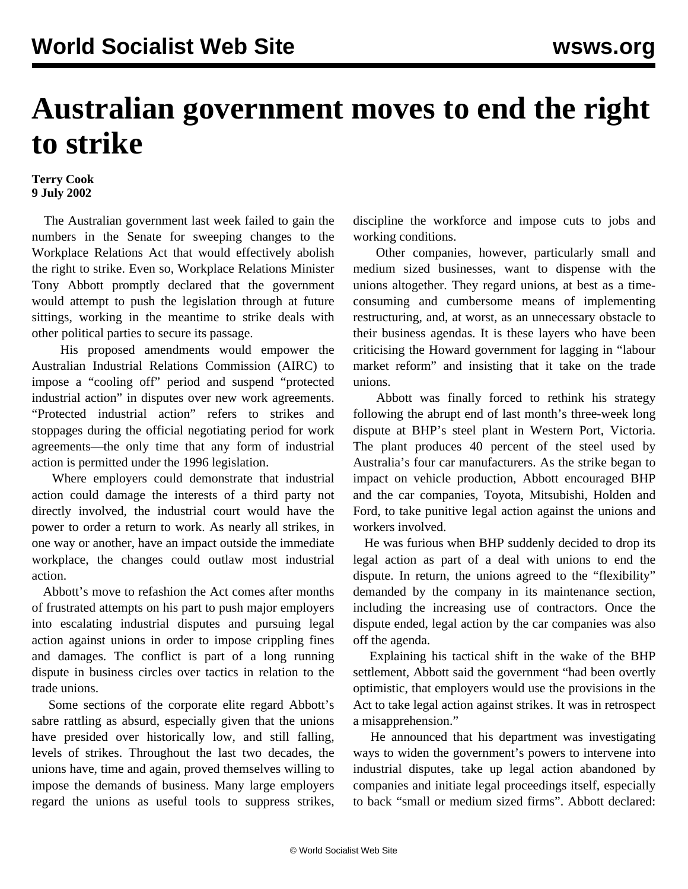## **Australian government moves to end the right to strike**

## **Terry Cook 9 July 2002**

 The Australian government last week failed to gain the numbers in the Senate for sweeping changes to the Workplace Relations Act that would effectively abolish the right to strike. Even so, Workplace Relations Minister Tony Abbott promptly declared that the government would attempt to push the legislation through at future sittings, working in the meantime to strike deals with other political parties to secure its passage.

 His proposed amendments would empower the Australian Industrial Relations Commission (AIRC) to impose a "cooling off" period and suspend "protected industrial action" in disputes over new work agreements. "Protected industrial action" refers to strikes and stoppages during the official negotiating period for work agreements—the only time that any form of industrial action is permitted under the 1996 legislation.

 Where employers could demonstrate that industrial action could damage the interests of a third party not directly involved, the industrial court would have the power to order a return to work. As nearly all strikes, in one way or another, have an impact outside the immediate workplace, the changes could outlaw most industrial action.

 Abbott's move to refashion the Act comes after months of frustrated attempts on his part to push major employers into escalating industrial disputes and pursuing legal action against unions in order to impose crippling fines and damages. The conflict is part of a long running dispute in business circles over tactics in relation to the trade unions.

 Some sections of the corporate elite regard Abbott's sabre rattling as absurd, especially given that the unions have presided over historically low, and still falling, levels of strikes. Throughout the last two decades, the unions have, time and again, proved themselves willing to impose the demands of business. Many large employers regard the unions as useful tools to suppress strikes,

discipline the workforce and impose cuts to jobs and working conditions.

 Other companies, however, particularly small and medium sized businesses, want to dispense with the unions altogether. They regard unions, at best as a timeconsuming and cumbersome means of implementing restructuring, and, at worst, as an unnecessary obstacle to their business agendas. It is these layers who have been criticising the Howard government for lagging in "labour market reform" and insisting that it take on the trade unions.

 Abbott was finally forced to rethink his strategy following the abrupt end of last month's three-week long dispute at BHP's steel plant in Western Port, Victoria. The plant produces 40 percent of the steel used by Australia's four car manufacturers. As the strike began to impact on vehicle production, Abbott encouraged BHP and the car companies, Toyota, Mitsubishi, Holden and Ford, to take punitive legal action against the unions and workers involved.

 He was furious when BHP suddenly decided to drop its legal action as part of a deal with unions to end the dispute. In return, the unions agreed to the "flexibility" demanded by the company in its maintenance section, including the increasing use of contractors. Once the dispute ended, legal action by the car companies was also off the agenda.

 Explaining his tactical shift in the wake of the BHP settlement, Abbott said the government "had been overtly optimistic, that employers would use the provisions in the Act to take legal action against strikes. It was in retrospect a misapprehension."

 He announced that his department was investigating ways to widen the government's powers to intervene into industrial disputes, take up legal action abandoned by companies and initiate legal proceedings itself, especially to back "small or medium sized firms". Abbott declared: